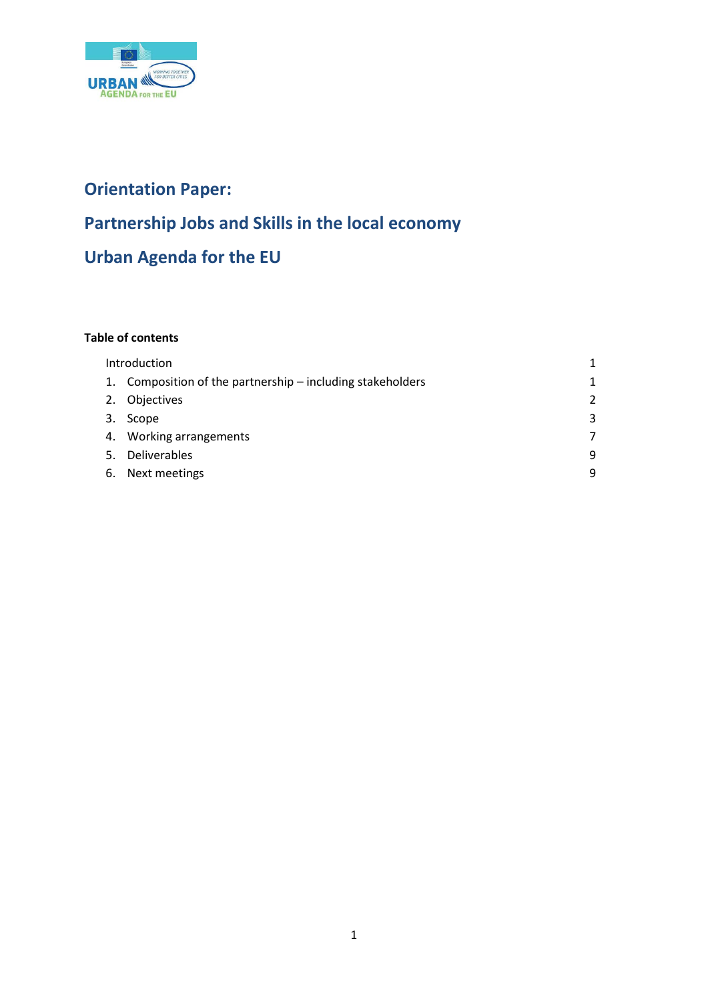

# **Orientation Paper: Partnership Jobs and Skills in the local economy Urban Agenda for the EU**

# **Table of contents**

|    | Introduction                                               |               |
|----|------------------------------------------------------------|---------------|
|    | 1. Composition of the partnership – including stakeholders | 1             |
|    | 2. Objectives                                              | $\mathcal{P}$ |
| 3. | Scope                                                      | 3             |
|    | 4. Working arrangements                                    | 7             |
| 5. | Deliverables                                               | 9             |
| 6. | Next meetings                                              | q             |
|    |                                                            |               |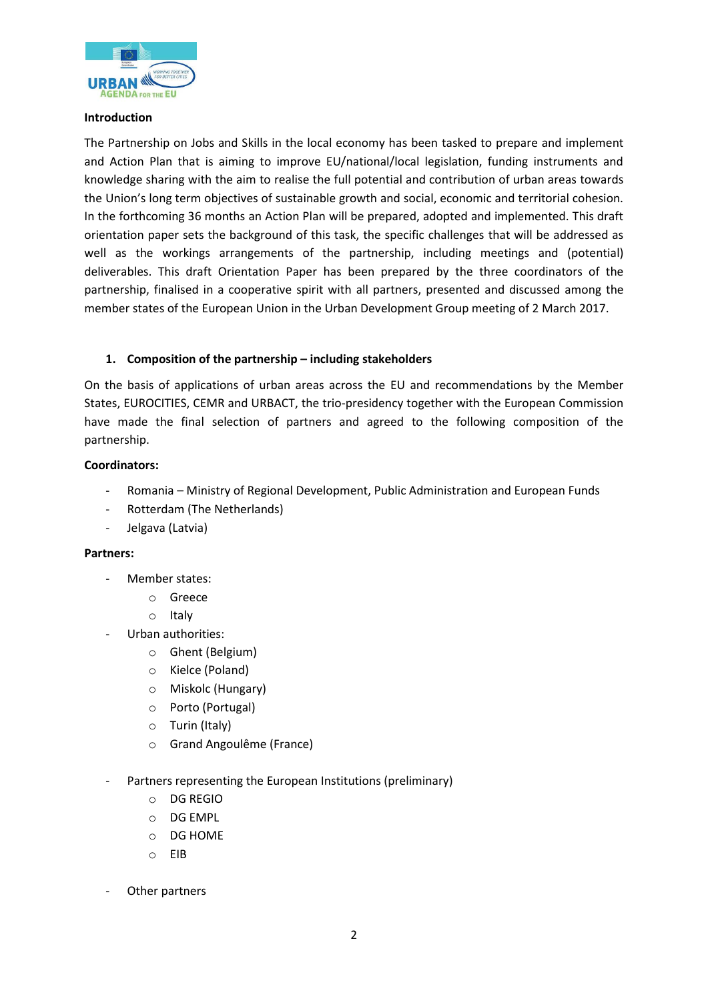

# **Introduction**

The Partnership on Jobs and Skills in the local economy has been tasked to prepare and implement and Action Plan that is aiming to improve EU/national/local legislation, funding instruments and knowledge sharing with the aim to realise the full potential and contribution of urban areas towards the Union's long term objectives of sustainable growth and social, economic and territorial cohesion. In the forthcoming 36 months an Action Plan will be prepared, adopted and implemented. This draft orientation paper sets the background of this task, the specific challenges that will be addressed as well as the workings arrangements of the partnership, including meetings and (potential) deliverables. This draft Orientation Paper has been prepared by the three coordinators of the partnership, finalised in a cooperative spirit with all partners, presented and discussed among the member states of the European Union in the Urban Development Group meeting of 2 March 2017.

# **1. Composition of the partnership – including stakeholders**

On the basis of applications of urban areas across the EU and recommendations by the Member States, EUROCITIES, CEMR and URBACT, the trio-presidency together with the European Commission have made the final selection of partners and agreed to the following composition of the partnership.

# **Coordinators:**

- Romania Ministry of Regional Development, Public Administration and European Funds
- Rotterdam (The Netherlands)
- Jelgava (Latvia)

# **Partners:**

- Member states:
	- o Greece
	- o Italy
- Urban authorities:
	- o Ghent (Belgium)
	- o Kielce (Poland)
	- o Miskolc (Hungary)
	- o Porto (Portugal)
	- o Turin (Italy)
	- o Grand Angoulême (France)
- Partners representing the European Institutions (preliminary)
	- o DG REGIO
	- o DG EMPL
	- o DG HOME
	- o EIB
- Other partners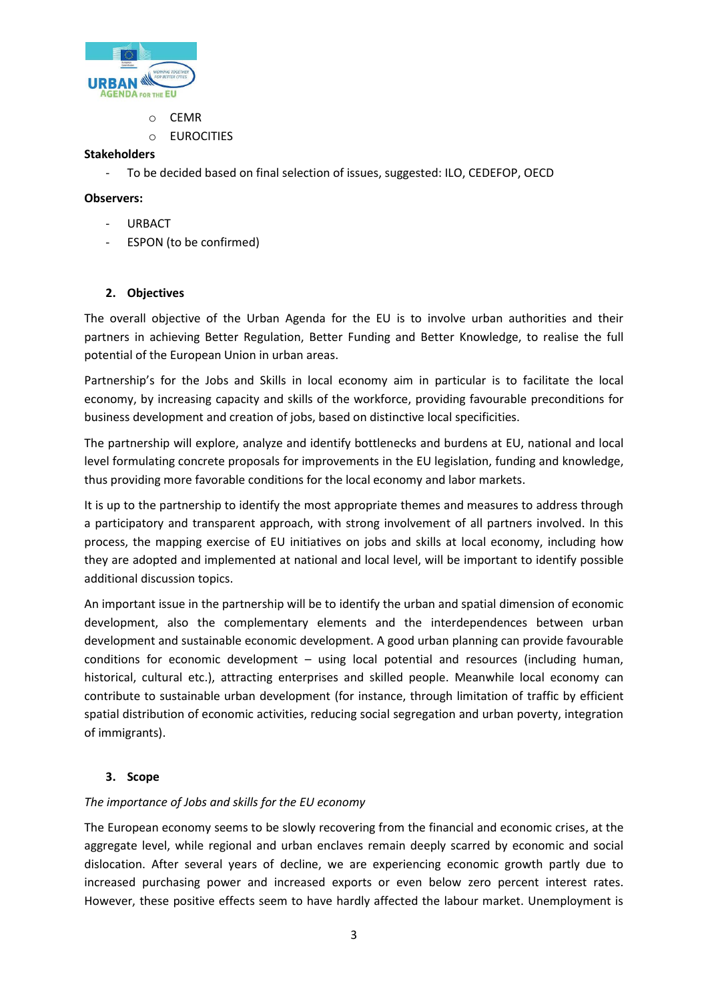

- o CEMR
- o EUROCITIES

# **Stakeholders**

- To be decided based on final selection of issues, suggested: ILO, CEDEFOP, OECD

# **Observers:**

- **URBACT**
- ESPON (to be confirmed)

# **2. Objectives**

The overall objective of the Urban Agenda for the EU is to involve urban authorities and their partners in achieving Better Regulation, Better Funding and Better Knowledge, to realise the full potential of the European Union in urban areas.

Partnership's for the Jobs and Skills in local economy aim in particular is to facilitate the local economy, by increasing capacity and skills of the workforce, providing favourable preconditions for business development and creation of jobs, based on distinctive local specificities.

The partnership will explore, analyze and identify bottlenecks and burdens at EU, national and local level formulating concrete proposals for improvements in the EU legislation, funding and knowledge, thus providing more favorable conditions for the local economy and labor markets.

It is up to the partnership to identify the most appropriate themes and measures to address through a participatory and transparent approach, with strong involvement of all partners involved. In this process, the mapping exercise of EU initiatives on jobs and skills at local economy, including how they are adopted and implemented at national and local level, will be important to identify possible additional discussion topics.

An important issue in the partnership will be to identify the urban and spatial dimension of economic development, also the complementary elements and the interdependences between urban development and sustainable economic development. A good urban planning can provide favourable conditions for economic development – using local potential and resources (including human, historical, cultural etc.), attracting enterprises and skilled people. Meanwhile local economy can contribute to sustainable urban development (for instance, through limitation of traffic by efficient spatial distribution of economic activities, reducing social segregation and urban poverty, integration of immigrants).

# **3. Scope**

# *The importance of Jobs and skills for the EU economy*

The European economy seems to be slowly recovering from the financial and economic crises, at the aggregate level, while regional and urban enclaves remain deeply scarred by economic and social dislocation. After several years of decline, we are experiencing economic growth partly due to increased purchasing power and increased exports or even below zero percent interest rates. However, these positive effects seem to have hardly affected the labour market. Unemployment is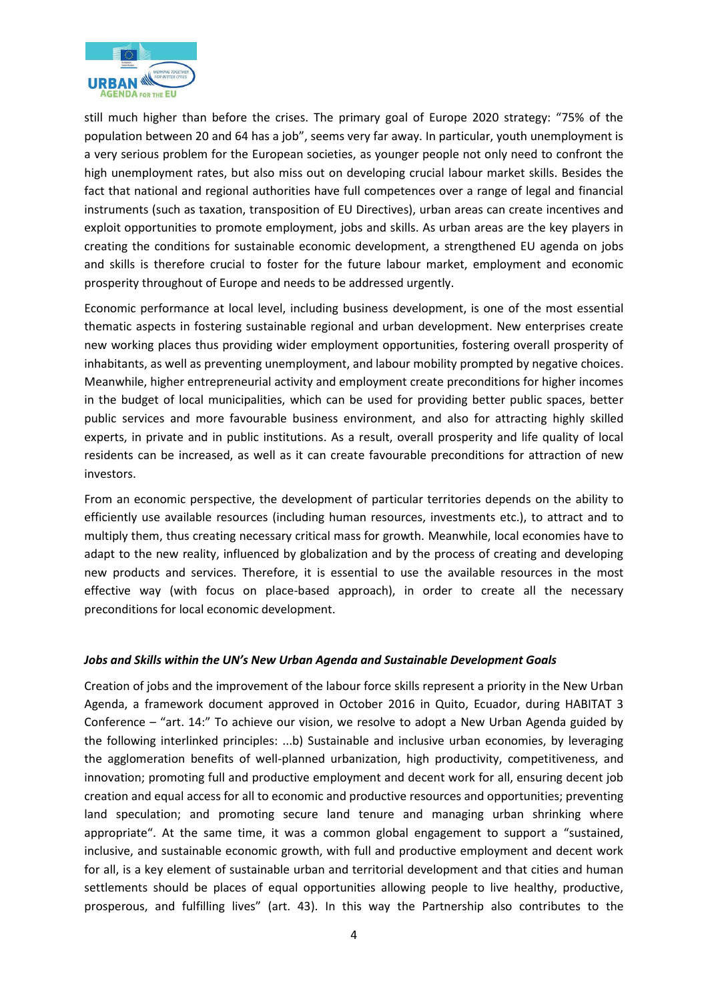

still much higher than before the crises. The primary goal of Europe 2020 strategy: "75% of the population between 20 and 64 has a job", seems very far away. In particular, youth unemployment is a very serious problem for the European societies, as younger people not only need to confront the high unemployment rates, but also miss out on developing crucial labour market skills. Besides the fact that national and regional authorities have full competences over a range of legal and financial instruments (such as taxation, transposition of EU Directives), urban areas can create incentives and exploit opportunities to promote employment, jobs and skills. As urban areas are the key players in creating the conditions for sustainable economic development, a strengthened EU agenda on jobs and skills is therefore crucial to foster for the future labour market, employment and economic prosperity throughout of Europe and needs to be addressed urgently.

Economic performance at local level, including business development, is one of the most essential thematic aspects in fostering sustainable regional and urban development. New enterprises create new working places thus providing wider employment opportunities, fostering overall prosperity of inhabitants, as well as preventing unemployment, and labour mobility prompted by negative choices. Meanwhile, higher entrepreneurial activity and employment create preconditions for higher incomes in the budget of local municipalities, which can be used for providing better public spaces, better public services and more favourable business environment, and also for attracting highly skilled experts, in private and in public institutions. As a result, overall prosperity and life quality of local residents can be increased, as well as it can create favourable preconditions for attraction of new investors.

From an economic perspective, the development of particular territories depends on the ability to efficiently use available resources (including human resources, investments etc.), to attract and to multiply them, thus creating necessary critical mass for growth. Meanwhile, local economies have to adapt to the new reality, influenced by globalization and by the process of creating and developing new products and services. Therefore, it is essential to use the available resources in the most effective way (with focus on place-based approach), in order to create all the necessary preconditions for local economic development.

# *Jobs and Skills within the UN's New Urban Agenda and Sustainable Development Goals*

Creation of jobs and the improvement of the labour force skills represent a priority in the New Urban Agenda, a framework document approved in October 2016 in Quito, Ecuador, during HABITAT 3 Conference – "art. 14:" To achieve our vision, we resolve to adopt a New Urban Agenda guided by the following interlinked principles: ...b) Sustainable and inclusive urban economies, by leveraging the agglomeration benefits of well-planned urbanization, high productivity, competitiveness, and innovation; promoting full and productive employment and decent work for all, ensuring decent job creation and equal access for all to economic and productive resources and opportunities; preventing land speculation; and promoting secure land tenure and managing urban shrinking where appropriate". At the same time, it was a common global engagement to support a "sustained, inclusive, and sustainable economic growth, with full and productive employment and decent work for all, is a key element of sustainable urban and territorial development and that cities and human settlements should be places of equal opportunities allowing people to live healthy, productive, prosperous, and fulfilling lives" (art. 43). In this way the Partnership also contributes to the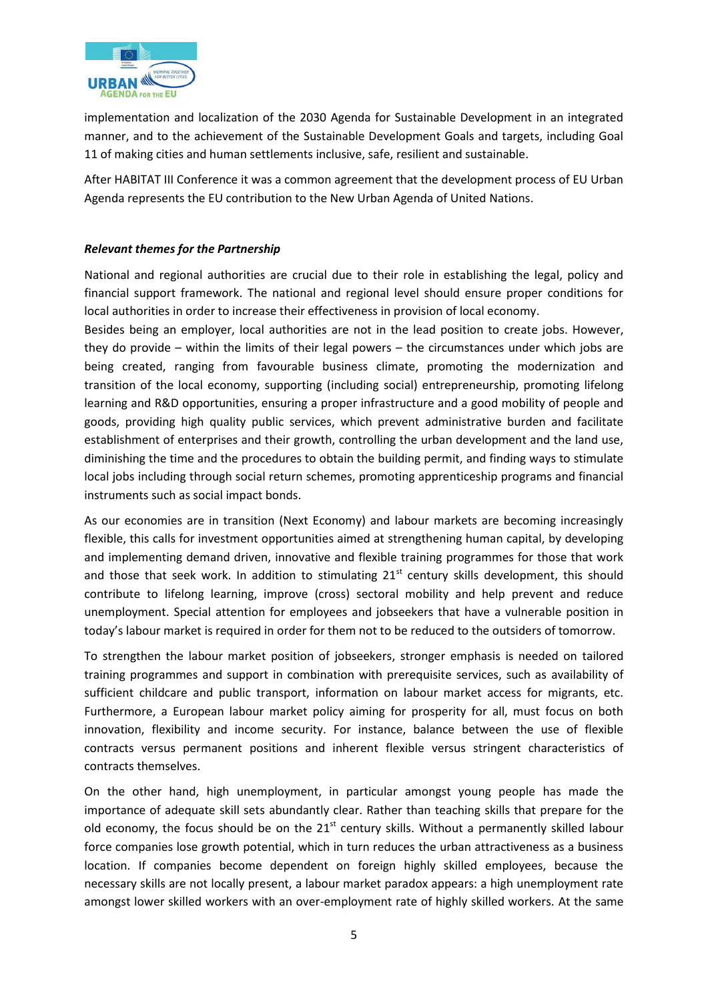

implementation and localization of the 2030 Agenda for Sustainable Development in an integrated manner, and to the achievement of the Sustainable Development Goals and targets, including Goal 11 of making cities and human settlements inclusive, safe, resilient and sustainable.

After HABITAT III Conference it was a common agreement that the development process of EU Urban Agenda represents the EU contribution to the New Urban Agenda of United Nations.

# *Relevant themes for the Partnership*

National and regional authorities are crucial due to their role in establishing the legal, policy and financial support framework. The national and regional level should ensure proper conditions for local authorities in order to increase their effectiveness in provision of local economy.

Besides being an employer, local authorities are not in the lead position to create jobs. However, they do provide – within the limits of their legal powers – the circumstances under which jobs are being created, ranging from favourable business climate, promoting the modernization and transition of the local economy, supporting (including social) entrepreneurship, promoting lifelong learning and R&D opportunities, ensuring a proper infrastructure and a good mobility of people and goods, providing high quality public services, which prevent administrative burden and facilitate establishment of enterprises and their growth, controlling the urban development and the land use, diminishing the time and the procedures to obtain the building permit, and finding ways to stimulate local jobs including through social return schemes, promoting apprenticeship programs and financial instruments such as social impact bonds.

As our economies are in transition (Next Economy) and labour markets are becoming increasingly flexible, this calls for investment opportunities aimed at strengthening human capital, by developing and implementing demand driven, innovative and flexible training programmes for those that work and those that seek work. In addition to stimulating  $21<sup>st</sup>$  century skills development, this should contribute to lifelong learning, improve (cross) sectoral mobility and help prevent and reduce unemployment. Special attention for employees and jobseekers that have a vulnerable position in today's labour market is required in order for them not to be reduced to the outsiders of tomorrow.

To strengthen the labour market position of jobseekers, stronger emphasis is needed on tailored training programmes and support in combination with prerequisite services, such as availability of sufficient childcare and public transport, information on labour market access for migrants, etc. Furthermore, a European labour market policy aiming for prosperity for all, must focus on both innovation, flexibility and income security. For instance, balance between the use of flexible contracts versus permanent positions and inherent flexible versus stringent characteristics of contracts themselves.

On the other hand, high unemployment, in particular amongst young people has made the importance of adequate skill sets abundantly clear. Rather than teaching skills that prepare for the old economy, the focus should be on the  $21<sup>st</sup>$  century skills. Without a permanently skilled labour force companies lose growth potential, which in turn reduces the urban attractiveness as a business location. If companies become dependent on foreign highly skilled employees, because the necessary skills are not locally present, a labour market paradox appears: a high unemployment rate amongst lower skilled workers with an over-employment rate of highly skilled workers. At the same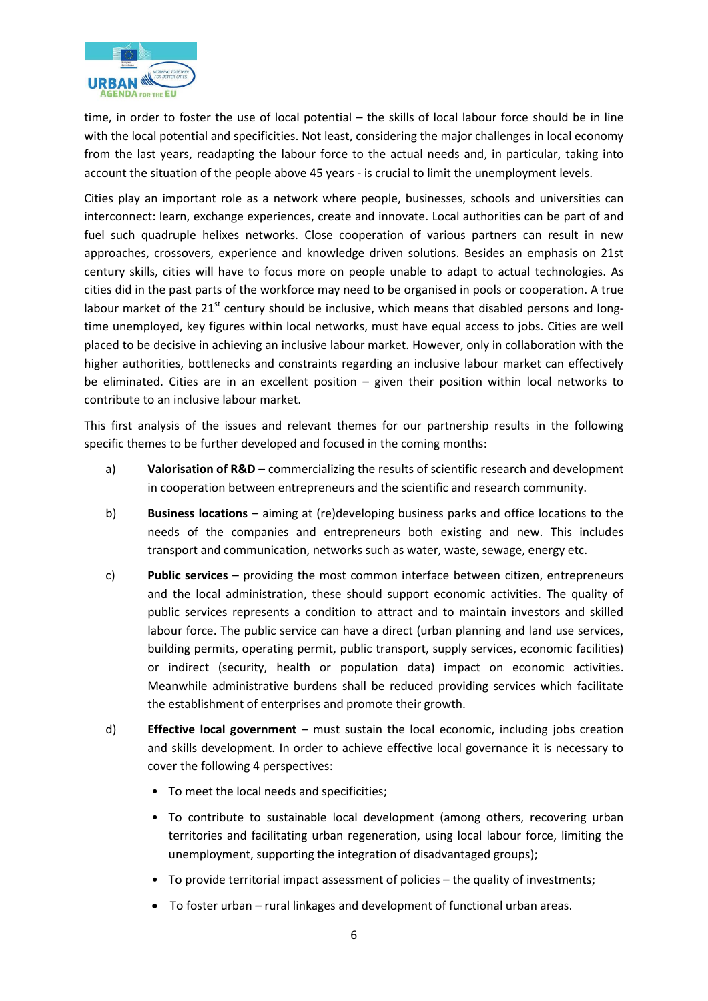

time, in order to foster the use of local potential – the skills of local labour force should be in line with the local potential and specificities. Not least, considering the major challenges in local economy from the last years, readapting the labour force to the actual needs and, in particular, taking into account the situation of the people above 45 years - is crucial to limit the unemployment levels.

Cities play an important role as a network where people, businesses, schools and universities can interconnect: learn, exchange experiences, create and innovate. Local authorities can be part of and fuel such quadruple helixes networks. Close cooperation of various partners can result in new approaches, crossovers, experience and knowledge driven solutions. Besides an emphasis on 21st century skills, cities will have to focus more on people unable to adapt to actual technologies. As cities did in the past parts of the workforce may need to be organised in pools or cooperation. A true labour market of the  $21<sup>st</sup>$  century should be inclusive, which means that disabled persons and longtime unemployed, key figures within local networks, must have equal access to jobs. Cities are well placed to be decisive in achieving an inclusive labour market. However, only in collaboration with the higher authorities, bottlenecks and constraints regarding an inclusive labour market can effectively be eliminated. Cities are in an excellent position – given their position within local networks to contribute to an inclusive labour market.

This first analysis of the issues and relevant themes for our partnership results in the following specific themes to be further developed and focused in the coming months:

- a) **Valorisation of R&D** commercializing the results of scientific research and development in cooperation between entrepreneurs and the scientific and research community.
- b) **Business locations** aiming at (re)developing business parks and office locations to the needs of the companies and entrepreneurs both existing and new. This includes transport and communication, networks such as water, waste, sewage, energy etc.
- c) **Public services** providing the most common interface between citizen, entrepreneurs and the local administration, these should support economic activities. The quality of public services represents a condition to attract and to maintain investors and skilled labour force. The public service can have a direct (urban planning and land use services, building permits, operating permit, public transport, supply services, economic facilities) or indirect (security, health or population data) impact on economic activities. Meanwhile administrative burdens shall be reduced providing services which facilitate the establishment of enterprises and promote their growth.
- d) **Effective local government** must sustain the local economic, including jobs creation and skills development. In order to achieve effective local governance it is necessary to cover the following 4 perspectives:
	- To meet the local needs and specificities;
	- To contribute to sustainable local development (among others, recovering urban territories and facilitating urban regeneration, using local labour force, limiting the unemployment, supporting the integration of disadvantaged groups);
	- To provide territorial impact assessment of policies the quality of investments;
	- To foster urban rural linkages and development of functional urban areas.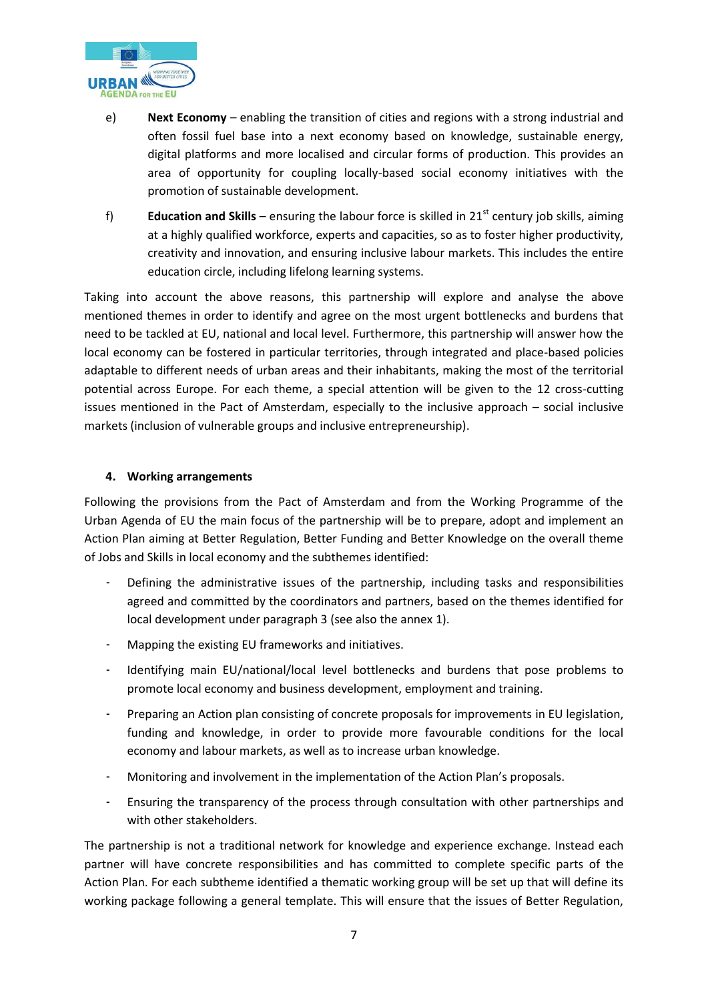

- e) **Next Economy** enabling the transition of cities and regions with a strong industrial and often fossil fuel base into a next economy based on knowledge, sustainable energy, digital platforms and more localised and circular forms of production. This provides an area of opportunity for coupling locally-based social economy initiatives with the promotion of sustainable development.
- f) **Education and Skills** ensuring the labour force is skilled in 21st century job skills, aiming at a highly qualified workforce, experts and capacities, so as to foster higher productivity, creativity and innovation, and ensuring inclusive labour markets. This includes the entire education circle, including lifelong learning systems.

Taking into account the above reasons, this partnership will explore and analyse the above mentioned themes in order to identify and agree on the most urgent bottlenecks and burdens that need to be tackled at EU, national and local level. Furthermore, this partnership will answer how the local economy can be fostered in particular territories, through integrated and place-based policies adaptable to different needs of urban areas and their inhabitants, making the most of the territorial potential across Europe. For each theme, a special attention will be given to the 12 cross-cutting issues mentioned in the Pact of Amsterdam, especially to the inclusive approach – social inclusive markets (inclusion of vulnerable groups and inclusive entrepreneurship).

# **4. Working arrangements**

Following the provisions from the Pact of Amsterdam and from the Working Programme of the Urban Agenda of EU the main focus of the partnership will be to prepare, adopt and implement an Action Plan aiming at Better Regulation, Better Funding and Better Knowledge on the overall theme of Jobs and Skills in local economy and the subthemes identified:

- Defining the administrative issues of the partnership, including tasks and responsibilities agreed and committed by the coordinators and partners, based on the themes identified for local development under paragraph 3 (see also the annex 1).
- Mapping the existing EU frameworks and initiatives.
- Identifying main EU/national/local level bottlenecks and burdens that pose problems to promote local economy and business development, employment and training.
- Preparing an Action plan consisting of concrete proposals for improvements in EU legislation, funding and knowledge, in order to provide more favourable conditions for the local economy and labour markets, as well as to increase urban knowledge.
- Monitoring and involvement in the implementation of the Action Plan's proposals.
- Ensuring the transparency of the process through consultation with other partnerships and with other stakeholders.

The partnership is not a traditional network for knowledge and experience exchange. Instead each partner will have concrete responsibilities and has committed to complete specific parts of the Action Plan. For each subtheme identified a thematic working group will be set up that will define its working package following a general template. This will ensure that the issues of Better Regulation,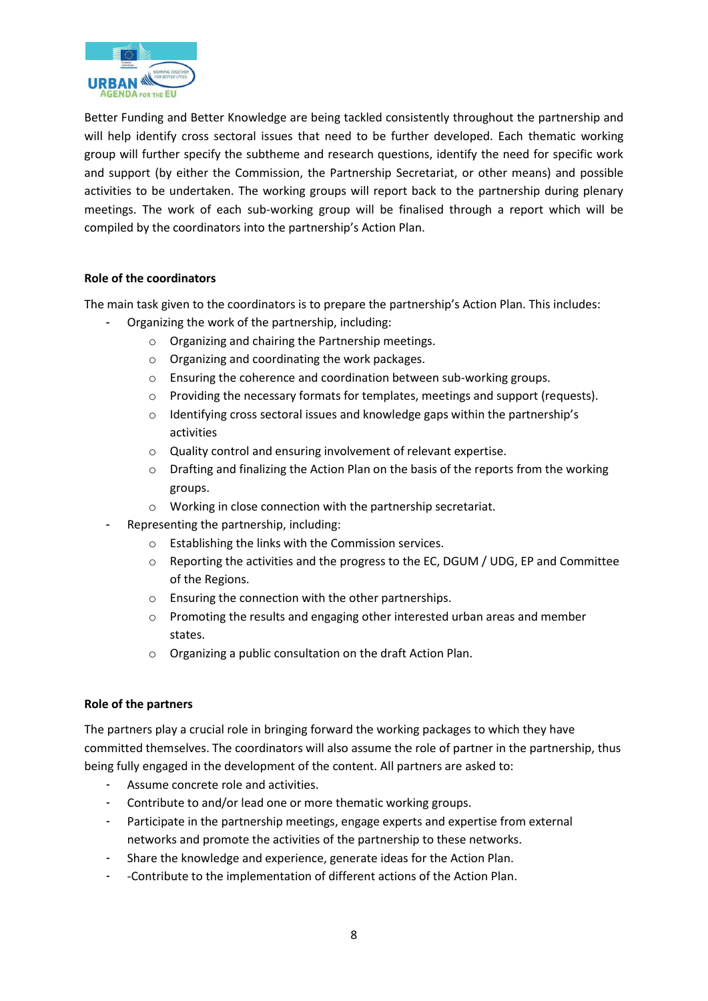

Better Funding and Better Knowledge are being tackled consistently throughout the partnership and will help identify cross sectoral issues that need to be further developed. Each thematic working group will further specify the subtheme and research questions, identify the need for specific work and support (by either the Commission, the Partnership Secretariat, or other means) and possible activities to be undertaken. The working groups will report back to the partnership during plenary meetings. The work of each sub-working group will be finalised through a report which will be compiled by the coordinators into the partnership's Action Plan.

# **Role of the coordinators**

The main task given to the coordinators is to prepare the partnership's Action Plan. This includes:

- Organizing the work of the partnership, including:
	- o Organizing and chairing the Partnership meetings.
	- o Organizing and coordinating the work packages.
	- o Ensuring the coherence and coordination between sub-working groups.
	- $\circ$  Providing the necessary formats for templates, meetings and support (requests).
	- o Identifying cross sectoral issues and knowledge gaps within the partnership's activities
	- o Quality control and ensuring involvement of relevant expertise.
	- $\circ$  Drafting and finalizing the Action Plan on the basis of the reports from the working groups.
	- o Working in close connection with the partnership secretariat.
- Representing the partnership, including:
	- o Establishing the links with the Commission services.
	- o Reporting the activities and the progress to the EC, DGUM / UDG, EP and Committee of the Regions.
	- o Ensuring the connection with the other partnerships.
	- $\circ$  Promoting the results and engaging other interested urban areas and member states.
	- o Organizing a public consultation on the draft Action Plan.

# **Role of the partners**

The partners play a crucial role in bringing forward the working packages to which they have committed themselves. The coordinators will also assume the role of partner in the partnership, thus being fully engaged in the development of the content. All partners are asked to:

- Assume concrete role and activities.
- Contribute to and/or lead one or more thematic working groups.
- Participate in the partnership meetings, engage experts and expertise from external networks and promote the activities of the partnership to these networks.
- Share the knowledge and experience, generate ideas for the Action Plan.
- -Contribute to the implementation of different actions of the Action Plan.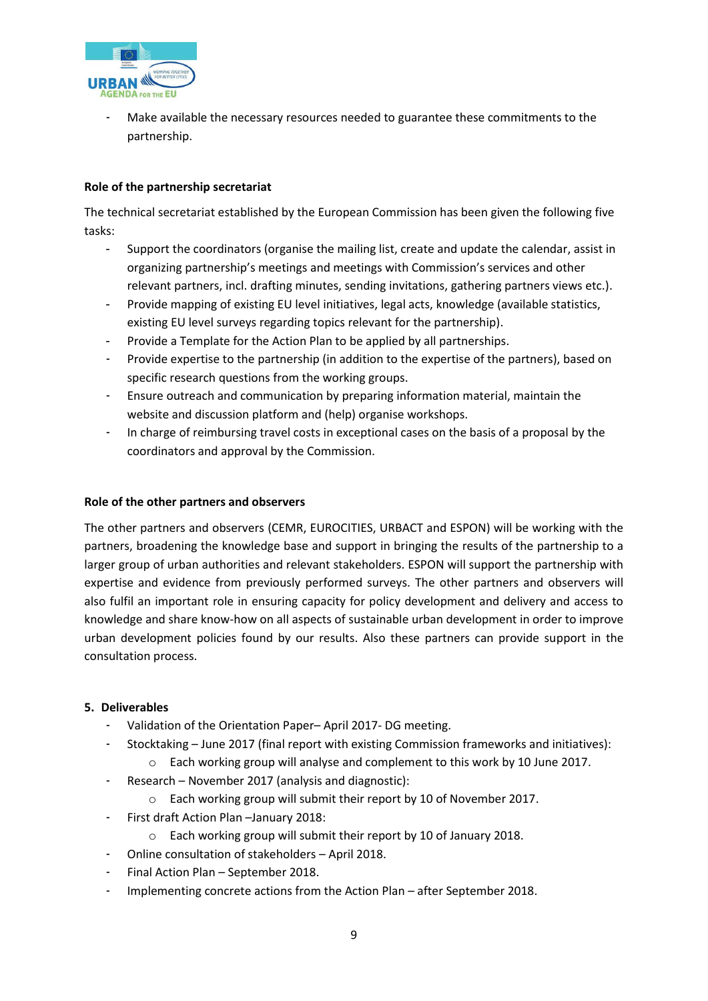

Make available the necessary resources needed to guarantee these commitments to the partnership.

# **Role of the partnership secretariat**

The technical secretariat established by the European Commission has been given the following five tasks:

- Support the coordinators (organise the mailing list, create and update the calendar, assist in organizing partnership's meetings and meetings with Commission's services and other relevant partners, incl. drafting minutes, sending invitations, gathering partners views etc.).
- Provide mapping of existing EU level initiatives, legal acts, knowledge (available statistics, existing EU level surveys regarding topics relevant for the partnership).
- Provide a Template for the Action Plan to be applied by all partnerships.
- Provide expertise to the partnership (in addition to the expertise of the partners), based on specific research questions from the working groups.
- Ensure outreach and communication by preparing information material, maintain the website and discussion platform and (help) organise workshops.
- In charge of reimbursing travel costs in exceptional cases on the basis of a proposal by the coordinators and approval by the Commission.

# **Role of the other partners and observers**

The other partners and observers (CEMR, EUROCITIES, URBACT and ESPON) will be working with the partners, broadening the knowledge base and support in bringing the results of the partnership to a larger group of urban authorities and relevant stakeholders. ESPON will support the partnership with expertise and evidence from previously performed surveys. The other partners and observers will also fulfil an important role in ensuring capacity for policy development and delivery and access to knowledge and share know-how on all aspects of sustainable urban development in order to improve urban development policies found by our results. Also these partners can provide support in the consultation process.

# **5. Deliverables**

- Validation of the Orientation Paper– April 2017- DG meeting.
- Stocktaking June 2017 (final report with existing Commission frameworks and initiatives):
	- $\circ$  Each working group will analyse and complement to this work by 10 June 2017.
- Research November 2017 (analysis and diagnostic):
	- o Each working group will submit their report by 10 of November 2017.
- First draft Action Plan –January 2018:
	- o Each working group will submit their report by 10 of January 2018.
- Online consultation of stakeholders April 2018.
- Final Action Plan September 2018.
- Implementing concrete actions from the Action Plan after September 2018.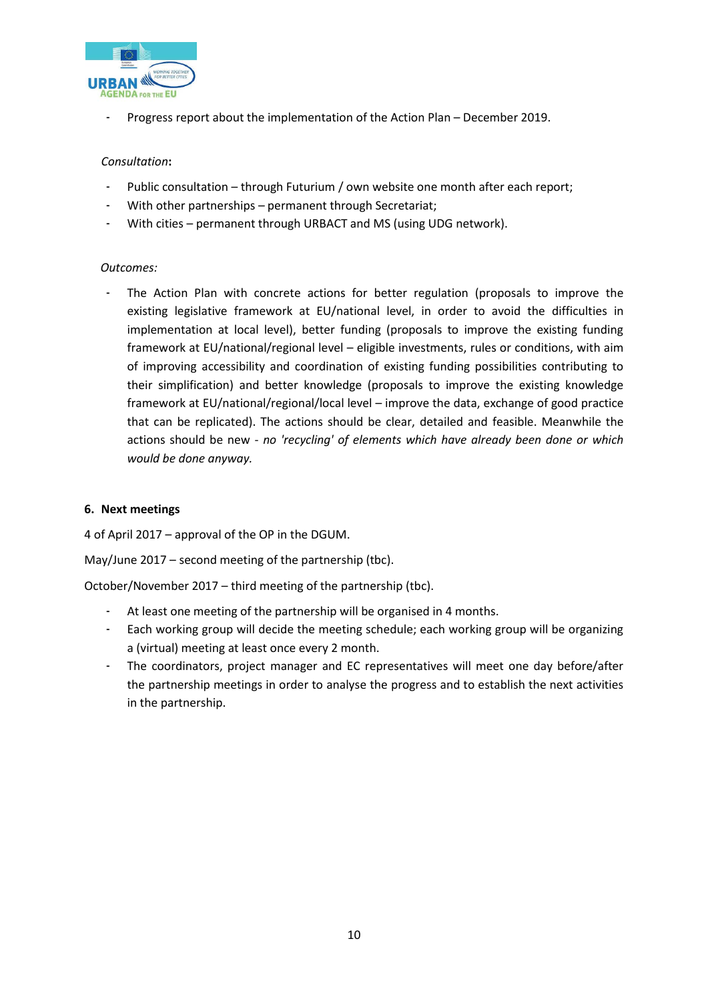

- Progress report about the implementation of the Action Plan – December 2019.

# *Consultation***:**

- Public consultation through Futurium / own website one month after each report;
- With other partnerships permanent through Secretariat;
- With cities permanent through URBACT and MS (using UDG network).

# *Outcomes:*

The Action Plan with concrete actions for better regulation (proposals to improve the existing legislative framework at EU/national level, in order to avoid the difficulties in implementation at local level), better funding (proposals to improve the existing funding framework at EU/national/regional level – eligible investments, rules or conditions, with aim of improving accessibility and coordination of existing funding possibilities contributing to their simplification) and better knowledge (proposals to improve the existing knowledge framework at EU/national/regional/local level – improve the data, exchange of good practice that can be replicated). The actions should be clear, detailed and feasible. Meanwhile the actions should be new - *no 'recycling' of elements which have already been done or which would be done anyway.*

# **6. Next meetings**

4 of April 2017 – approval of the OP in the DGUM.

May/June 2017 – second meeting of the partnership (tbc).

October/November 2017 – third meeting of the partnership (tbc).

- At least one meeting of the partnership will be organised in 4 months.
- Each working group will decide the meeting schedule; each working group will be organizing a (virtual) meeting at least once every 2 month.
- The coordinators, project manager and EC representatives will meet one day before/after the partnership meetings in order to analyse the progress and to establish the next activities in the partnership.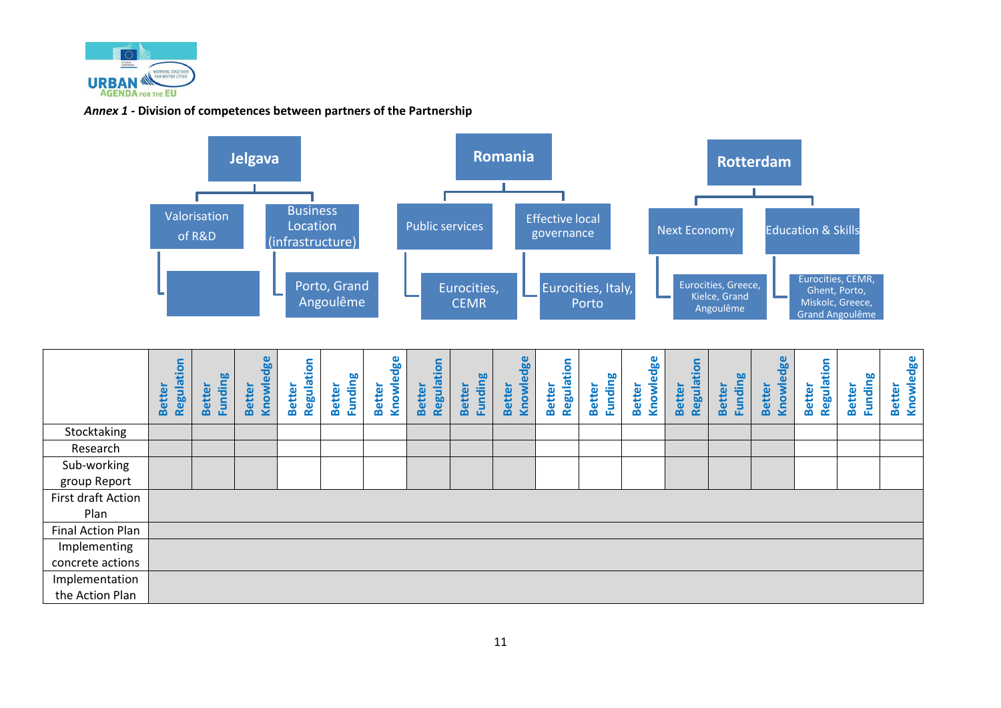

# *Annex 1 -* **Division of competences between partners of the Partnership**



|                    | Regulation<br><b>Better</b> | <b>Funding</b><br><b>Better</b> | Knowledge<br><b>Better</b> | Regulation<br><b>Better</b> | <b>Funding</b><br><b>Better</b> | Knowledge<br><b>Better</b> | Regulation<br><b>Better</b> | <b>Funding</b><br><b>Better</b> | Knowledge<br><b>Better</b> | Regulation<br><b>Better</b> | <b>Funding</b><br><b>Better</b> | Knowledge<br><b>Better</b> | Regulation<br><b>Better</b> | <b>Funding</b><br><b>Better</b> | Knowledge<br><b>Better</b> | Regulation<br><b>Better</b> | Funding<br><b>Better</b> | Knowledge<br>Better |
|--------------------|-----------------------------|---------------------------------|----------------------------|-----------------------------|---------------------------------|----------------------------|-----------------------------|---------------------------------|----------------------------|-----------------------------|---------------------------------|----------------------------|-----------------------------|---------------------------------|----------------------------|-----------------------------|--------------------------|---------------------|
| Stocktaking        |                             |                                 |                            |                             |                                 |                            |                             |                                 |                            |                             |                                 |                            |                             |                                 |                            |                             |                          |                     |
| Research           |                             |                                 |                            |                             |                                 |                            |                             |                                 |                            |                             |                                 |                            |                             |                                 |                            |                             |                          |                     |
| Sub-working        |                             |                                 |                            |                             |                                 |                            |                             |                                 |                            |                             |                                 |                            |                             |                                 |                            |                             |                          |                     |
| group Report       |                             |                                 |                            |                             |                                 |                            |                             |                                 |                            |                             |                                 |                            |                             |                                 |                            |                             |                          |                     |
| First draft Action |                             |                                 |                            |                             |                                 |                            |                             |                                 |                            |                             |                                 |                            |                             |                                 |                            |                             |                          |                     |
| Plan               |                             |                                 |                            |                             |                                 |                            |                             |                                 |                            |                             |                                 |                            |                             |                                 |                            |                             |                          |                     |
| Final Action Plan  |                             |                                 |                            |                             |                                 |                            |                             |                                 |                            |                             |                                 |                            |                             |                                 |                            |                             |                          |                     |
| Implementing       |                             |                                 |                            |                             |                                 |                            |                             |                                 |                            |                             |                                 |                            |                             |                                 |                            |                             |                          |                     |
| concrete actions   |                             |                                 |                            |                             |                                 |                            |                             |                                 |                            |                             |                                 |                            |                             |                                 |                            |                             |                          |                     |
| Implementation     |                             |                                 |                            |                             |                                 |                            |                             |                                 |                            |                             |                                 |                            |                             |                                 |                            |                             |                          |                     |
| the Action Plan    |                             |                                 |                            |                             |                                 |                            |                             |                                 |                            |                             |                                 |                            |                             |                                 |                            |                             |                          |                     |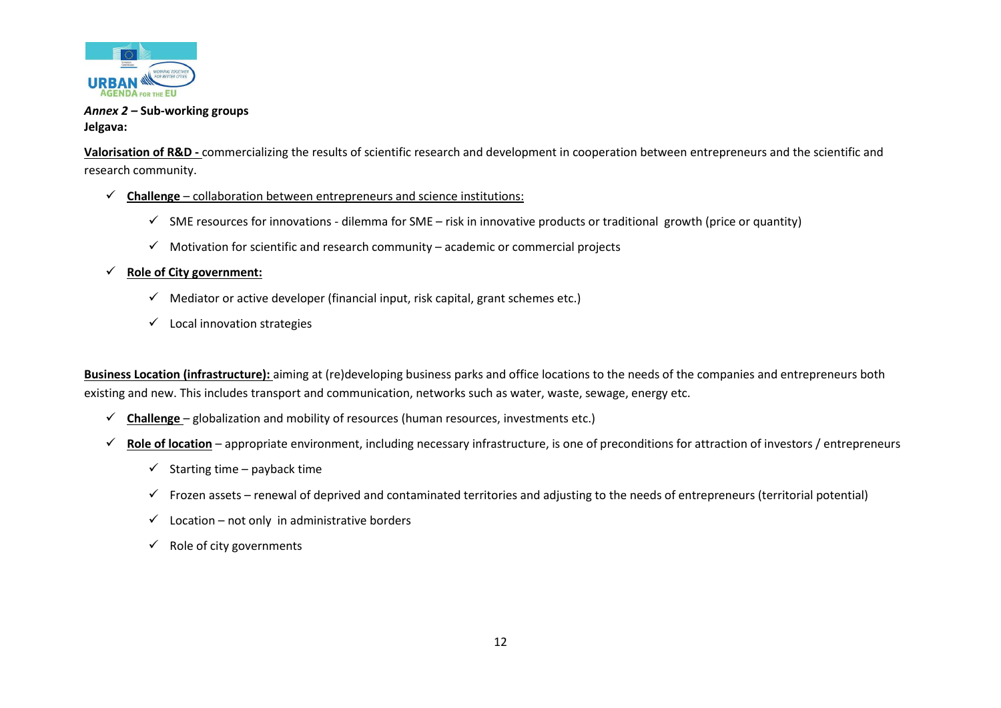

# *Annex 2 –* **Sub-working groups Jelgava:**

**Valorisation of R&D -** commercializing the results of scientific research and development in cooperation between entrepreneurs and the scientific and research community.

- $\checkmark$  **Challenge** collaboration between entrepreneurs and science institutions:
	- $\checkmark$  SME resources for innovations dilemma for SME risk in innovative products or traditional growth (price or quantity)
	- $\checkmark$  Motivation for scientific and research community academic or commercial projects

# **Role of City government:**

- $\checkmark$  Mediator or active developer (financial input, risk capital, grant schemes etc.)
- $\checkmark$  Local innovation strategies

**Business Location (infrastructure):** aiming at (re)developing business parks and office locations to the needs of the companies and entrepreneurs both existing and new. This includes transport and communication, networks such as water, waste, sewage, energy etc.

- **Challenge**  globalization and mobility of resources (human resources, investments etc.)
- **Role of location** appropriate environment, including necessary infrastructure, is one of preconditions for attraction of investors / entrepreneurs
	- $\checkmark$  Starting time payback time
	- $\checkmark$  Frozen assets renewal of deprived and contaminated territories and adjusting to the needs of entrepreneurs (territorial potential)
	- $\checkmark$  Location not only in administrative borders
	- $\checkmark$  Role of city governments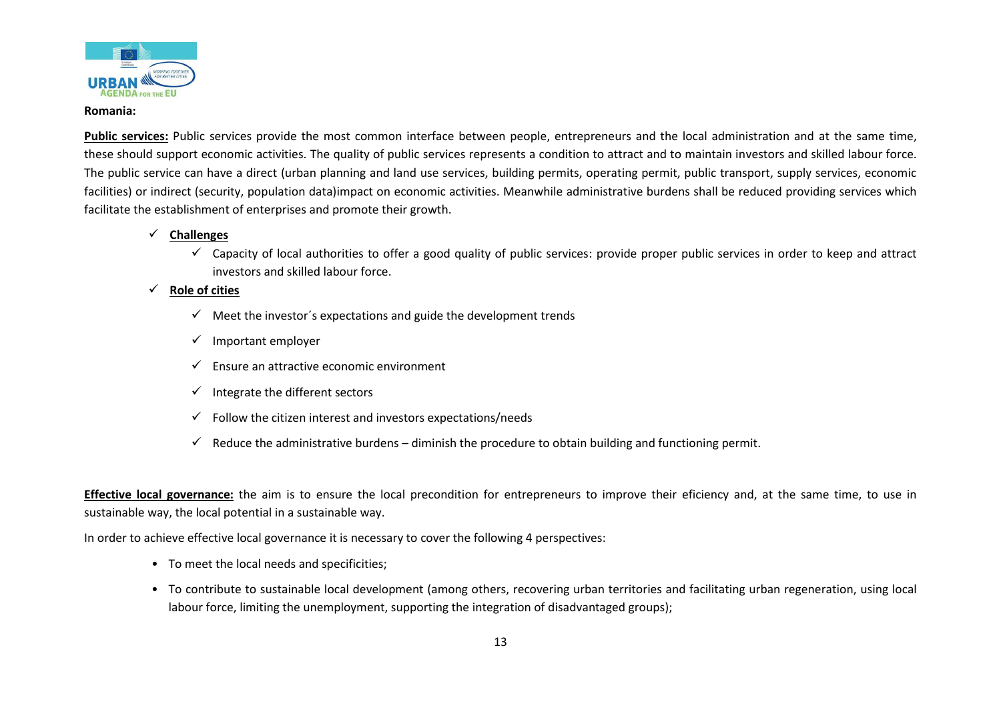

#### **Romania:**

**Public services:** Public services provide the most common interface between people, entrepreneurs and the local administration and at the same time, these should support economic activities. The quality of public services represents a condition to attract and to maintain investors and skilled labour force. The public service can have a direct (urban planning and land use services, building permits, operating permit, public transport, supply services, economic facilities) or indirect (security, population data)impact on economic activities. Meanwhile administrative burdens shall be reduced providing services which facilitate the establishment of enterprises and promote their growth.

# **Challenges**

 $\checkmark$  Capacity of local authorities to offer a good quality of public services: provide proper public services in order to keep and attract investors and skilled labour force.

# **Role of cities**

- $\checkmark$  Meet the investor's expectations and guide the development trends
- $\checkmark$  Important employer
- $\checkmark$  Ensure an attractive economic environment
- $\checkmark$  Integrate the different sectors
- $\checkmark$  Follow the citizen interest and investors expectations/needs
- $\checkmark$  Reduce the administrative burdens diminish the procedure to obtain building and functioning permit.

**Effective local governance:** the aim is to ensure the local precondition for entrepreneurs to improve their eficiency and, at the same time, to use in sustainable way, the local potential in a sustainable way.

In order to achieve effective local governance it is necessary to cover the following 4 perspectives:

- To meet the local needs and specificities;
- To contribute to sustainable local development (among others, recovering urban territories and facilitating urban regeneration, using local labour force, limiting the unemployment, supporting the integration of disadvantaged groups);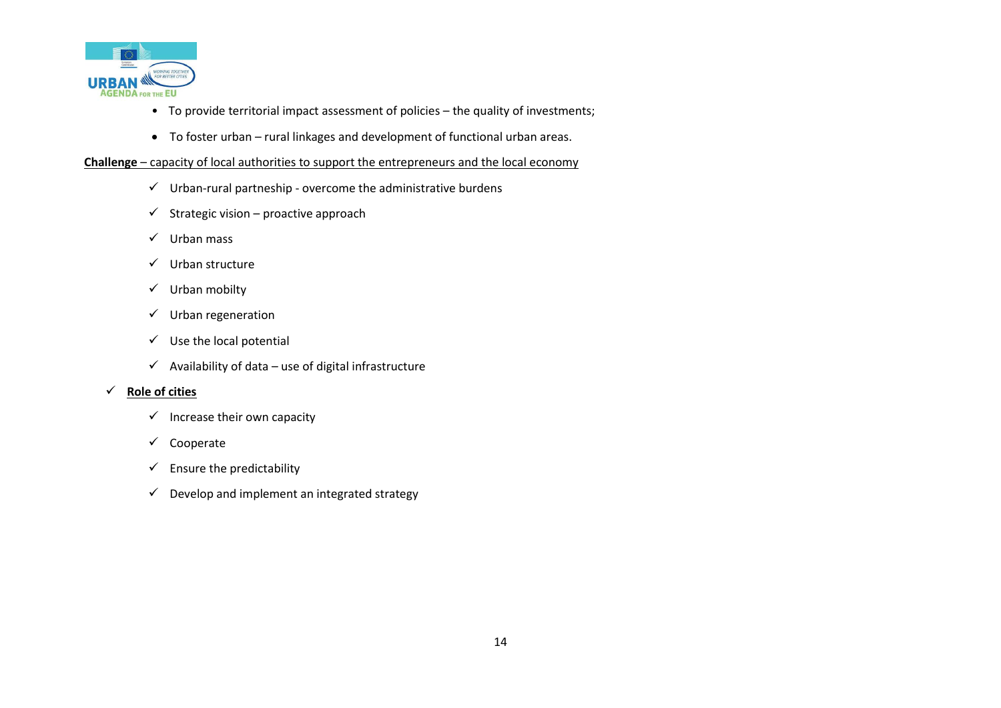

- To provide territorial impact assessment of policies the quality of investments;
- To foster urban rural linkages and development of functional urban areas.

#### **Challenge** – capacity of local authorities to support the entrepreneurs and the local economy

- $\checkmark$  Urban-rural partneship overcome the administrative burdens
- $\checkmark$  Strategic vision proactive approach
- $\checkmark$  Urban mass
- $\checkmark$  Urban structure
- $\checkmark$  Urban mobilty
- $\checkmark$  Urban regeneration
- $\checkmark$  Use the local potential
- $\checkmark$  Availability of data use of digital infrastructure

### **Role of cities**

- $\checkmark$  Increase their own capacity
- $\checkmark$  Cooperate
- $\checkmark$  Ensure the predictability
- $\checkmark$  Develop and implement an integrated strategy